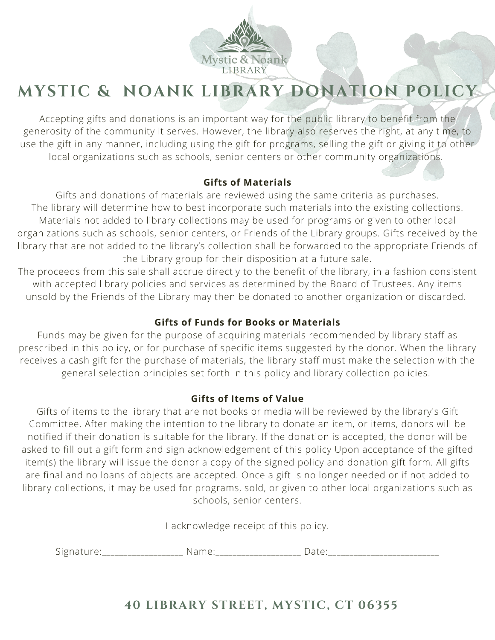

# **MYSTIC & NOANK LIBRARY DONATION POLICY**

Accepting gifts and donations is an important way for the public library to benefit from the generosity of the community it serves. However, the library also reserves the right, at any time, to use the gift in any manner, including using the gift for programs, selling the gift or giving it to other local organizations such as schools, senior centers or other community organizations.

#### **Gifts of Materials**

Gifts and donations of materials are reviewed using the same criteria as purchases. The library will determine how to best incorporate such materials into the existing collections. Materials not added to library collections may be used for programs or given to other local organizations such as schools, senior centers, or Friends of the Library groups. Gifts received by the library that are not added to the library's collection shall be forwarded to the appropriate Friends of the Library group for their disposition at a future sale.

The proceeds from this sale shall accrue directly to the benefit of the library, in a fashion consistent with accepted library policies and services as determined by the Board of Trustees. Any items unsold by the Friends of the Library may then be donated to another organization or discarded.

### **Gifts of Funds for Books or Materials**

Funds may be given for the purpose of acquiring materials recommended by library staff as prescribed in this policy, or for purchase of specific items suggested by the donor. When the library receives a cash gift for the purchase of materials, the library staff must make the selection with the general selection principles set forth in this policy and library collection policies.

### **Gifts of Items of Value**

Gifts of items to the library that are not books or media will be reviewed by the library's Gift Committee. After making the intention to the library to donate an item, or items, donors will be notified if their donation is suitable for the library. If the donation is accepted, the donor will be asked to fill out a gift form and sign acknowledgement of this policy Upon acceptance of the gifted item(s) the library will issue the donor a copy of the signed policy and donation gift form. All gifts are final and no loans of objects are accepted. Once a gift is no longer needed or if not added to library collections, it may be used for programs, sold, or given to other local organizations such as schools, senior centers.

I acknowledge receipt of this policy.

Signature: The Mame: The Mame: All Date:

## **40 LIBRARY STREET, MYSTIC, CT 06355**